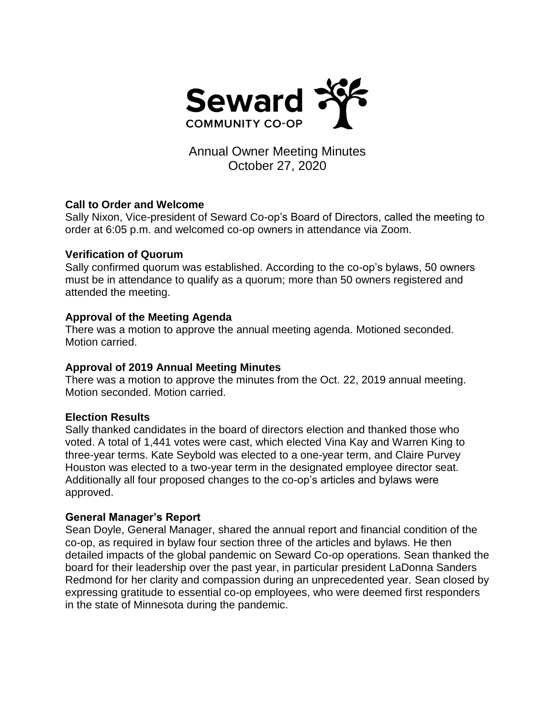

# Annual Owner Meeting Minutes October 27, 2020

## **Call to Order and Welcome**

Sally Nixon, Vice-president of Seward Co-op's Board of Directors, called the meeting to order at 6:05 p.m. and welcomed co-op owners in attendance via Zoom.

#### **Verification of Quorum**

Sally confirmed quorum was established. According to the co-op's bylaws, 50 owners must be in attendance to qualify as a quorum; more than 50 owners registered and attended the meeting.

## **Approval of the Meeting Agenda**

There was a motion to approve the annual meeting agenda. Motioned seconded. Motion carried.

## **Approval of 2019 Annual Meeting Minutes**

There was a motion to approve the minutes from the Oct. 22, 2019 annual meeting. Motion seconded. Motion carried.

## **Election Results**

Sally thanked candidates in the board of directors election and thanked those who voted. A total of 1,441 votes were cast, which elected Vina Kay and Warren King to three-year terms. Kate Seybold was elected to a one-year term, and Claire Purvey Houston was elected to a two-year term in the designated employee director seat. Additionally all four proposed changes to the co-op's articles and bylaws were approved.

## **General Manager's Report**

Sean Doyle, General Manager, shared the annual report and financial condition of the co-op, as required in bylaw four section three of the articles and bylaws. He then detailed impacts of the global pandemic on Seward Co-op operations. Sean thanked the board for their leadership over the past year, in particular president LaDonna Sanders Redmond for her clarity and compassion during an unprecedented year. Sean closed by expressing gratitude to essential co-op employees, who were deemed first responders in the state of Minnesota during the pandemic.